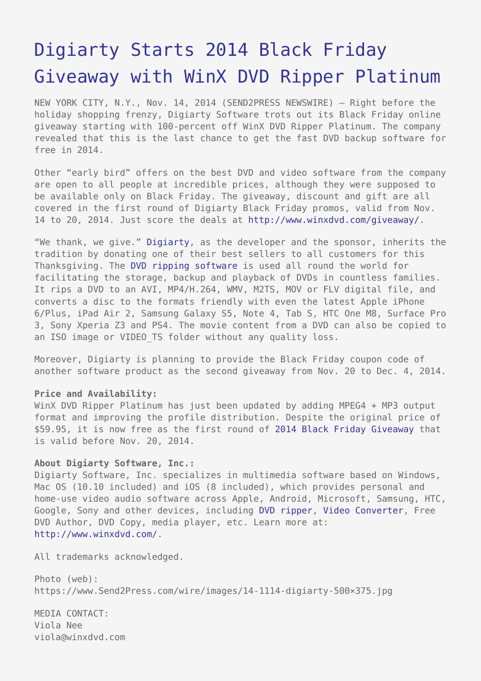# [Digiarty Starts 2014 Black Friday](https://www.send2press.com/wire/digiarty-starts-2014-black-friday-giveaway-with-winx-dvd-ripper-platinum-2014-11-1114-005/) [Giveaway with WinX DVD Ripper Platinum](https://www.send2press.com/wire/digiarty-starts-2014-black-friday-giveaway-with-winx-dvd-ripper-platinum-2014-11-1114-005/)

NEW YORK CITY, N.Y., Nov. 14, 2014 (SEND2PRESS NEWSWIRE) — Right before the holiday shopping frenzy, Digiarty Software trots out its Black Friday online giveaway starting with 100-percent off WinX DVD Ripper Platinum. The company revealed that this is the last chance to get the fast DVD backup software for free in 2014.

Other "early bird" offers on the best DVD and video software from the company are open to all people at incredible prices, although they were supposed to be available only on Black Friday. The giveaway, discount and gift are all covered in the first round of Digiarty Black Friday promos, valid from Nov. 14 to 20, 2014. Just score the deals at<http://www.winxdvd.com/giveaway/>.

"We thank, we give." [Digiarty,](http://www.winxdvd.com/) as the developer and the sponsor, inherits the tradition by donating one of their best sellers to all customers for this Thanksgiving. The [DVD ripping software](http://www.winxdvd.com/dvd-ripper-platinum/) is used all round the world for facilitating the storage, backup and playback of DVDs in countless families. It rips a DVD to an AVI, MP4/H.264, WMV, M2TS, MOV or FLV digital file, and converts a disc to the formats friendly with even the latest Apple iPhone 6/Plus, iPad Air 2, Samsung Galaxy S5, Note 4, Tab S, HTC One M8, Surface Pro 3, Sony Xperia Z3 and PS4. The movie content from a DVD can also be copied to an ISO image or VIDEO TS folder without any quality loss.

Moreover, Digiarty is planning to provide the Black Friday coupon code of another software product as the second giveaway from Nov. 20 to Dec. 4, 2014.

## **Price and Availability:**

WinX DVD Ripper Platinum has just been updated by adding MPEG4 + MP3 output format and improving the profile distribution. Despite the original price of \$59.95, it is now free as the first round of [2014 Black Friday Giveaway](http://www.winxdvd.com/giveaway/) that is valid before Nov. 20, 2014.

### **About Digiarty Software, Inc.:**

Digiarty Software, Inc. specializes in multimedia software based on Windows, Mac OS (10.10 included) and iOS (8 included), which provides personal and home-use video audio software across Apple, Android, Microsoft, Samsung, HTC, Google, Sony and other devices, including [DVD ripper,](http://www.winxdvd.com/dvd-ripper/) [Video Converter](http://www.winxdvd.com/video-converter/), Free DVD Author, DVD Copy, media player, etc. Learn more at: [http://www.winxdvd.com/.](http://www.winxdvd.com/)

All trademarks acknowledged.

Photo (web): https://www.Send2Press.com/wire/images/14-1114-digiarty-500×375.jpg

MEDIA CONTACT: Viola Nee viola@winxdvd.com